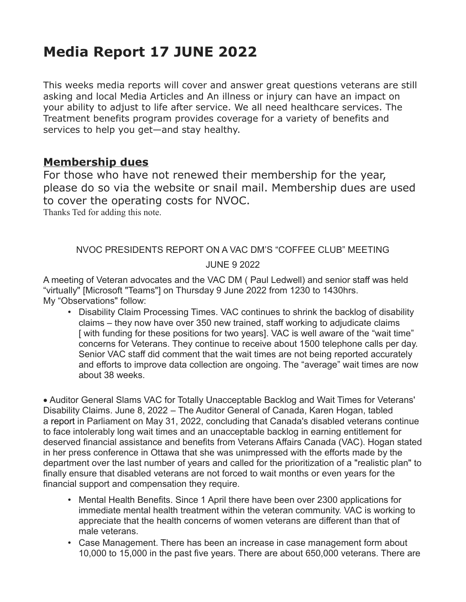# **Media Report 17 JUNE 2022**

This weeks media reports will cover and answer great questions veterans are still asking and local Media Articles and An illness or injury can have an impact on your ability to adjust to life after service. We all need healthcare services. The Treatment benefits program provides coverage for a variety of benefits and services to help you get—and stay healthy.

#### **Membership dues**

For those who have not renewed their membership for the year, please do so via the website or snail mail. Membership dues are used to cover the operating costs for NVOC.

Thanks Ted for adding this note.

## NVOC PRESIDENTS REPORT ON A VAC DM'S "COFFEE CLUB" MEETING JUNE 9 2022

A meeting of Veteran advocates and the VAC DM ( Paul Ledwell) and senior staff was held "virtually" [Microsoft "Teams"] on Thursday 9 June 2022 from 1230 to 1430hrs. My "Observations" follow:

• Disability Claim Processing Times. VAC continues to shrink the backlog of disability claims – they now have over 350 new trained, staff working to adjudicate claims [ with funding for these positions for two years]. VAC is well aware of the "wait time" concerns for Veterans. They continue to receive about 1500 telephone calls per day. Senior VAC staff did comment that the wait times are not being reported accurately and efforts to improve data collection are ongoing. The "average" wait times are now about 38 weeks.

· Auditor General Slams VAC for Totally Unacceptable Backlog and Wait Times for Veterans' Disability Claims. June 8, 2022 – The Auditor General of Canada, Karen Hogan, tabled a report in Parliament on May 31, 2022, concluding that Canada's disabled veterans continue to face intolerably long wait times and an unacceptable backlog in earning entitlement for deserved financial assistance and benefits from Veterans Affairs Canada (VAC). Hogan stated in her press conference in Ottawa that she was unimpressed with the efforts made by the department over the last number of years and called for the prioritization of a "realistic plan" to finally ensure that disabled veterans are not forced to wait months or even years for the financial support and compensation they require.

- Mental Health Benefits. Since 1 April there have been over 2300 applications for immediate mental health treatment within the veteran community. VAC is working to appreciate that the health concerns of women veterans are different than that of male veterans.
- Case Management. There has been an increase in case management form about 10,000 to 15,000 in the past five years. There are about 650,000 veterans. There are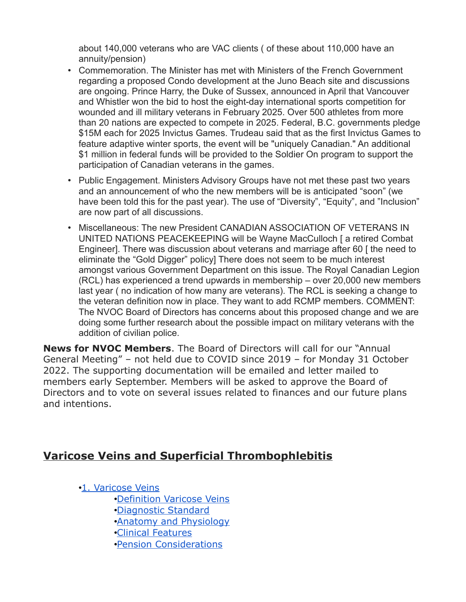about 140,000 veterans who are VAC clients ( of these about 110,000 have an annuity/pension)

- Commemoration. The Minister has met with Ministers of the French Government regarding a proposed Condo development at the Juno Beach site and discussions are ongoing. Prince Harry, the Duke of Sussex, announced in April that Vancouver and Whistler won the bid to host the eight-day international sports competition for wounded and ill military veterans in February 2025. Over 500 athletes from more than 20 nations are expected to compete in 2025. Federal, B.C. governments pledge \$15M each for 2025 Invictus Games. Trudeau said that as the first Invictus Games to feature adaptive winter sports, the event will be "uniquely Canadian." An additional \$1 million in federal funds will be provided to the Soldier On program to support the participation of Canadian veterans in the games.
- Public Engagement. Ministers Advisory Groups have not met these past two years and an announcement of who the new members will be is anticipated "soon" (we have been told this for the past year). The use of "Diversity", "Equity", and "Inclusion" are now part of all discussions.
- Miscellaneous: The new President CANADIAN ASSOCIATION OF VETERANS IN UNITED NATIONS PEACEKEEPING will be Wayne MacCulloch [ a retired Combat Engineer]. There was discussion about veterans and marriage after 60 [ the need to eliminate the "Gold Digger" policy] There does not seem to be much interest amongst various Government Department on this issue. The Royal Canadian Legion (RCL) has experienced a trend upwards in membership – over 20,000 new members last year ( no indication of how many are veterans). The RCL is seeking a change to the veteran definition now in place. They want to add RCMP members. COMMENT: The NVOC Board of Directors has concerns about this proposed change and we are doing some further research about the possible impact on military veterans with the addition of civilian police.

**News for NVOC Members**. The Board of Directors will call for our "Annual General Meeting" – not held due to COVID since 2019 – for Monday 31 October 2022. The supporting documentation will be emailed and letter mailed to members early September. Members will be asked to approve the Board of Directors and to vote on several issues related to finances and our future plans and intentions.

## **Varicose Veins and Superficial Thrombophlebitis**

•[1. Varicose Veins](https://www.veterans.gc.ca/eng/health-support/physical-health-and-wellness/compensation-illness-injury/disability-benefits/benefits-determined/entitlement-eligibility-guidelines/varicose#varicose)

- •[Definition Varicose Veins](https://www.veterans.gc.ca/eng/health-support/physical-health-and-wellness/compensation-illness-injury/disability-benefits/benefits-determined/entitlement-eligibility-guidelines/varicose#def)
- •[Diagnostic Standard](https://www.veterans.gc.ca/eng/health-support/physical-health-and-wellness/compensation-illness-injury/disability-benefits/benefits-determined/entitlement-eligibility-guidelines/varicose#dia)
- •[Anatomy and Physiology](https://www.veterans.gc.ca/eng/health-support/physical-health-and-wellness/compensation-illness-injury/disability-benefits/benefits-determined/entitlement-eligibility-guidelines/varicose#ana)
- •[Clinical Features](https://www.veterans.gc.ca/eng/health-support/physical-health-and-wellness/compensation-illness-injury/disability-benefits/benefits-determined/entitlement-eligibility-guidelines/varicose#cli)
- •[Pension Considerations](https://www.veterans.gc.ca/eng/health-support/physical-health-and-wellness/compensation-illness-injury/disability-benefits/benefits-determined/entitlement-eligibility-guidelines/varicose#pen)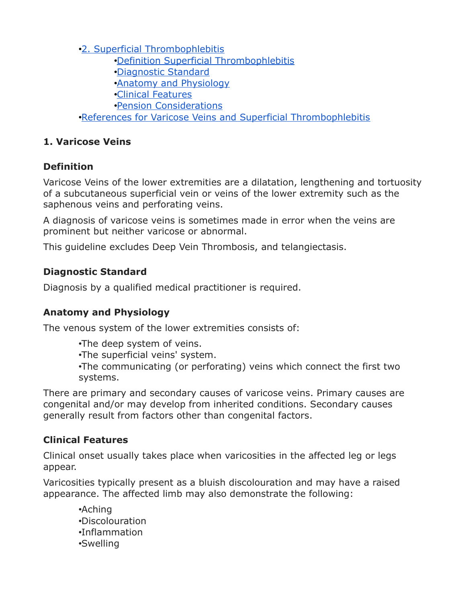•[2. Superficial Thrombophlebitis](https://www.veterans.gc.ca/eng/health-support/physical-health-and-wellness/compensation-illness-injury/disability-benefits/benefits-determined/entitlement-eligibility-guidelines/varicose#throm)

- •[Definition Superficial Thrombophlebitis](https://www.veterans.gc.ca/eng/health-support/physical-health-and-wellness/compensation-illness-injury/disability-benefits/benefits-determined/entitlement-eligibility-guidelines/varicose#def2)
- •[Diagnostic Standard](https://www.veterans.gc.ca/eng/health-support/physical-health-and-wellness/compensation-illness-injury/disability-benefits/benefits-determined/entitlement-eligibility-guidelines/varicose#dia2)
- •[Anatomy and Physiology](https://www.veterans.gc.ca/eng/health-support/physical-health-and-wellness/compensation-illness-injury/disability-benefits/benefits-determined/entitlement-eligibility-guidelines/varicose#ana2)
- •[Clinical Features](https://www.veterans.gc.ca/eng/health-support/physical-health-and-wellness/compensation-illness-injury/disability-benefits/benefits-determined/entitlement-eligibility-guidelines/varicose#cli2)
- •[Pension Considerations](https://www.veterans.gc.ca/eng/health-support/physical-health-and-wellness/compensation-illness-injury/disability-benefits/benefits-determined/entitlement-eligibility-guidelines/varicose#pen2)

•[References for Varicose Veins and Superficial Thrombophlebitis](https://www.veterans.gc.ca/eng/health-support/physical-health-and-wellness/compensation-illness-injury/disability-benefits/benefits-determined/entitlement-eligibility-guidelines/varicose#ref)

#### **1. Varicose Veins**

#### **Definition**

Varicose Veins of the lower extremities are a dilatation, lengthening and tortuosity of a subcutaneous superficial vein or veins of the lower extremity such as the saphenous veins and perforating veins.

A diagnosis of varicose veins is sometimes made in error when the veins are prominent but neither varicose or abnormal.

This guideline excludes Deep Vein Thrombosis, and telangiectasis.

#### **Diagnostic Standard**

Diagnosis by a qualified medical practitioner is required.

## **Anatomy and Physiology**

The venous system of the lower extremities consists of:

•The deep system of veins.

•The superficial veins' system.

•The communicating (or perforating) veins which connect the first two systems.

There are primary and secondary causes of varicose veins. Primary causes are congenital and/or may develop from inherited conditions. Secondary causes generally result from factors other than congenital factors.

## **Clinical Features**

Clinical onset usually takes place when varicosities in the affected leg or legs appear.

Varicosities typically present as a bluish discolouration and may have a raised appearance. The affected limb may also demonstrate the following:

•Aching •Discolouration •Inflammation •Swelling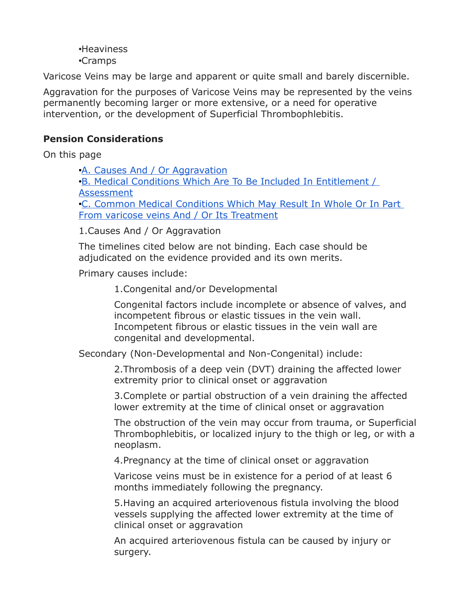•Heaviness •Cramps

Varicose Veins may be large and apparent or quite small and barely discernible.

Aggravation for the purposes of Varicose Veins may be represented by the veins permanently becoming larger or more extensive, or a need for operative intervention, or the development of Superficial Thrombophlebitis.

#### **Pension Considerations**

On this page

•[A. Causes And / Or Aggravation](https://www.veterans.gc.ca/eng/health-support/physical-health-and-wellness/compensation-illness-injury/disability-benefits/benefits-determined/entitlement-eligibility-guidelines/varicose#cause) •[B. Medical Conditions Which Are To Be Included In Entitlement /](https://www.veterans.gc.ca/eng/health-support/physical-health-and-wellness/compensation-illness-injury/disability-benefits/benefits-determined/entitlement-eligibility-guidelines/varicose#condition)  [Assessment](https://www.veterans.gc.ca/eng/health-support/physical-health-and-wellness/compensation-illness-injury/disability-benefits/benefits-determined/entitlement-eligibility-guidelines/varicose#condition) •[C. Common Medical Conditions Which May Result In Whole Or In Part](https://www.veterans.gc.ca/eng/health-support/physical-health-and-wellness/compensation-illness-injury/disability-benefits/benefits-determined/entitlement-eligibility-guidelines/varicose#treat)  [From varicose veins And / Or Its Treatment](https://www.veterans.gc.ca/eng/health-support/physical-health-and-wellness/compensation-illness-injury/disability-benefits/benefits-determined/entitlement-eligibility-guidelines/varicose#treat)

1.Causes And / Or Aggravation

The timelines cited below are not binding. Each case should be adjudicated on the evidence provided and its own merits.

Primary causes include:

1.Congenital and/or Developmental

Congenital factors include incomplete or absence of valves, and incompetent fibrous or elastic tissues in the vein wall. Incompetent fibrous or elastic tissues in the vein wall are congenital and developmental.

Secondary (Non-Developmental and Non-Congenital) include:

2.Thrombosis of a deep vein (DVT) draining the affected lower extremity prior to clinical onset or aggravation

3.Complete or partial obstruction of a vein draining the affected lower extremity at the time of clinical onset or aggravation

The obstruction of the vein may occur from trauma, or Superficial Thrombophlebitis, or localized injury to the thigh or leg, or with a neoplasm.

4.Pregnancy at the time of clinical onset or aggravation

Varicose veins must be in existence for a period of at least 6 months immediately following the pregnancy.

5.Having an acquired arteriovenous fistula involving the blood vessels supplying the affected lower extremity at the time of clinical onset or aggravation

An acquired arteriovenous fistula can be caused by injury or surgery.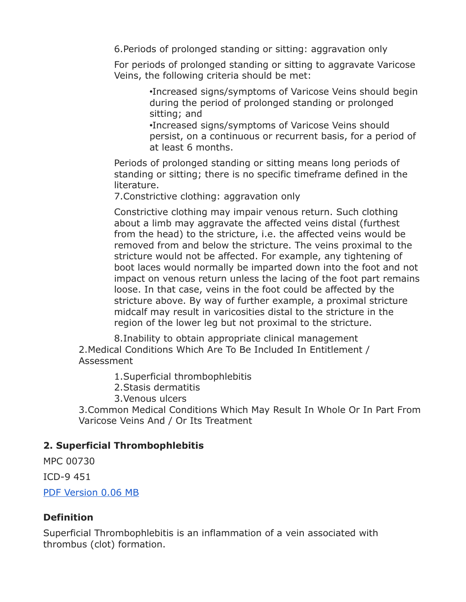6.Periods of prolonged standing or sitting: aggravation only

For periods of prolonged standing or sitting to aggravate Varicose Veins, the following criteria should be met:

> •Increased signs/symptoms of Varicose Veins should begin during the period of prolonged standing or prolonged sitting; and

> •Increased signs/symptoms of Varicose Veins should persist, on a continuous or recurrent basis, for a period of at least 6 months.

Periods of prolonged standing or sitting means long periods of standing or sitting; there is no specific timeframe defined in the literature.

7.Constrictive clothing: aggravation only

Constrictive clothing may impair venous return. Such clothing about a limb may aggravate the affected veins distal (furthest from the head) to the stricture, i.e. the affected veins would be removed from and below the stricture. The veins proximal to the stricture would not be affected. For example, any tightening of boot laces would normally be imparted down into the foot and not impact on venous return unless the lacing of the foot part remains loose. In that case, veins in the foot could be affected by the stricture above. By way of further example, a proximal stricture midcalf may result in varicosities distal to the stricture in the region of the lower leg but not proximal to the stricture.

8.Inability to obtain appropriate clinical management 2.Medical Conditions Which Are To Be Included In Entitlement / Assessment

1.Superficial thrombophlebitis

2.Stasis dermatitis

3.Venous ulcers

3.Common Medical Conditions Which May Result In Whole Or In Part From Varicose Veins And / Or Its Treatment

#### **2. Superficial Thrombophlebitis**

MPC 00730

ICD-9 451

[PDF Version 0.06 MB](https://www.veterans.gc.ca/pdf/dispen/eeg/varicose_veins.pdf)

#### **Definition**

Superficial Thrombophlebitis is an inflammation of a vein associated with thrombus (clot) formation.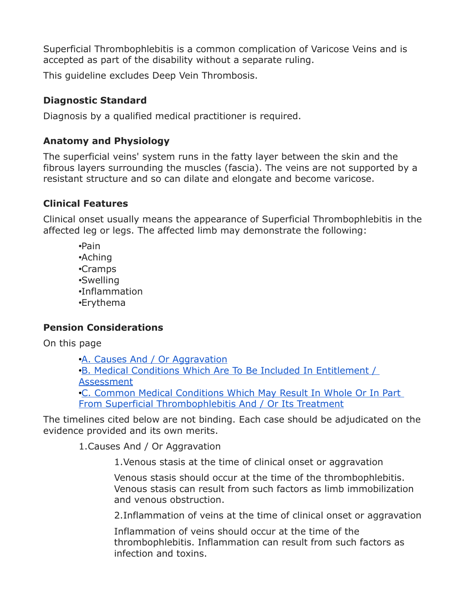Superficial Thrombophlebitis is a common complication of Varicose Veins and is accepted as part of the disability without a separate ruling.

This guideline excludes Deep Vein Thrombosis.

## **Diagnostic Standard**

Diagnosis by a qualified medical practitioner is required.

## **Anatomy and Physiology**

The superficial veins' system runs in the fatty layer between the skin and the fibrous layers surrounding the muscles (fascia). The veins are not supported by a resistant structure and so can dilate and elongate and become varicose.

## **Clinical Features**

Clinical onset usually means the appearance of Superficial Thrombophlebitis in the affected leg or legs. The affected limb may demonstrate the following:

•Pain •Aching •Cramps •Swelling •Inflammation •Erythema

## **Pension Considerations**

On this page

•[A. Causes And / Or Aggravation](https://www.veterans.gc.ca/eng/health-support/physical-health-and-wellness/compensation-illness-injury/disability-benefits/benefits-determined/entitlement-eligibility-guidelines/varicose#cause2) •[B. Medical Conditions Which Are To Be Included In Entitlement /](https://www.veterans.gc.ca/eng/health-support/physical-health-and-wellness/compensation-illness-injury/disability-benefits/benefits-determined/entitlement-eligibility-guidelines/varicose#condition2)  [Assessment](https://www.veterans.gc.ca/eng/health-support/physical-health-and-wellness/compensation-illness-injury/disability-benefits/benefits-determined/entitlement-eligibility-guidelines/varicose#condition2) •[C. Common Medical Conditions Which May Result In Whole Or In Part](https://www.veterans.gc.ca/eng/health-support/physical-health-and-wellness/compensation-illness-injury/disability-benefits/benefits-determined/entitlement-eligibility-guidelines/varicose#treat2)  [From Superficial Thrombophlebitis And / Or Its Treatment](https://www.veterans.gc.ca/eng/health-support/physical-health-and-wellness/compensation-illness-injury/disability-benefits/benefits-determined/entitlement-eligibility-guidelines/varicose#treat2)

The timelines cited below are not binding. Each case should be adjudicated on the evidence provided and its own merits.

1.Causes And / Or Aggravation

1.Venous stasis at the time of clinical onset or aggravation

Venous stasis should occur at the time of the thrombophlebitis. Venous stasis can result from such factors as limb immobilization and venous obstruction.

2.Inflammation of veins at the time of clinical onset or aggravation

Inflammation of veins should occur at the time of the thrombophlebitis. Inflammation can result from such factors as infection and toxins.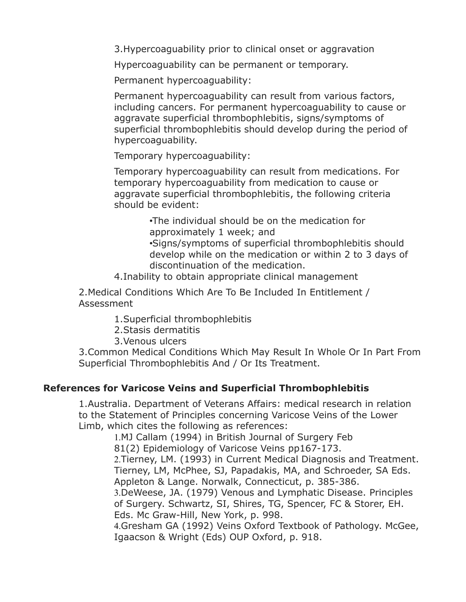3.Hypercoaguability prior to clinical onset or aggravation

Hypercoaguability can be permanent or temporary.

Permanent hypercoaguability:

Permanent hypercoaguability can result from various factors, including cancers. For permanent hypercoaguability to cause or aggravate superficial thrombophlebitis, signs/symptoms of superficial thrombophlebitis should develop during the period of hypercoaguability.

Temporary hypercoaguability:

Temporary hypercoaguability can result from medications. For temporary hypercoaguability from medication to cause or aggravate superficial thrombophlebitis, the following criteria should be evident:

> •The individual should be on the medication for approximately 1 week; and

•Signs/symptoms of superficial thrombophlebitis should develop while on the medication or within 2 to 3 days of discontinuation of the medication.

4.Inability to obtain appropriate clinical management

2.Medical Conditions Which Are To Be Included In Entitlement / Assessment

1.Superficial thrombophlebitis

- 2.Stasis dermatitis
- 3.Venous ulcers

3.Common Medical Conditions Which May Result In Whole Or In Part From Superficial Thrombophlebitis And / Or Its Treatment.

#### **References for Varicose Veins and Superficial Thrombophlebitis**

1.Australia. Department of Veterans Affairs: medical research in relation to the Statement of Principles concerning Varicose Veins of the Lower Limb, which cites the following as references:

1.MJ Callam (1994) in British Journal of Surgery Feb 81(2) Epidemiology of Varicose Veins pp167-173. 2.Tierney, LM. (1993) in Current Medical Diagnosis and Treatment. Tierney, LM, McPhee, SJ, Papadakis, MA, and Schroeder, SA Eds. Appleton & Lange. Norwalk, Connecticut, p. 385-386. 3.DeWeese, JA. (1979) Venous and Lymphatic Disease. Principles

of Surgery. Schwartz, SI, Shires, TG, Spencer, FC & Storer, EH. Eds. Mc Graw-Hill, New York, p. 998.

4.Gresham GA (1992) Veins Oxford Textbook of Pathology. McGee, Igaacson & Wright (Eds) OUP Oxford, p. 918.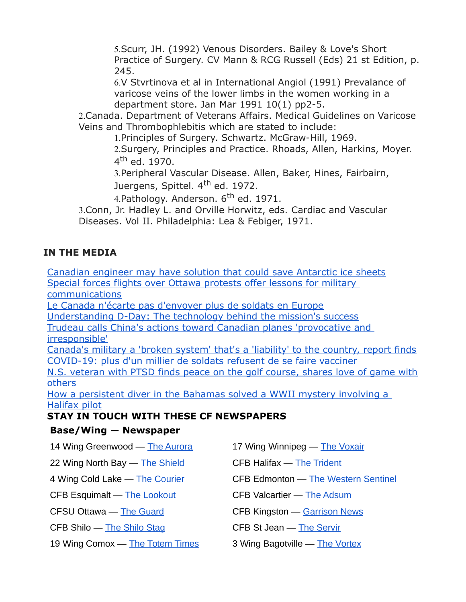5.Scurr, JH. (1992) Venous Disorders. Bailey & Love's Short Practice of Surgery. CV Mann & RCG Russell (Eds) 21 st Edition, p. 245.

6.V Stvrtinova et al in International Angiol (1991) Prevalance of varicose veins of the lower limbs in the women working in a department store. Jan Mar 1991 10(1) pp2-5.

2.Canada. Department of Veterans Affairs. Medical Guidelines on Varicose Veins and Thrombophlebitis which are stated to include:

1.Principles of Surgery. Schwartz. McGraw-Hill, 1969.

2.Surgery, Principles and Practice. Rhoads, Allen, Harkins, Moyer. 4<sup>th</sup> ed. 1970.

3.Peripheral Vascular Disease. Allen, Baker, Hines, Fairbairn, Juergens, Spittel. 4<sup>th</sup> ed. 1972.

4.Pathology. Anderson. 6<sup>th</sup> ed. 1971.

3.Conn, Jr. Hadley L. and Orville Horwitz, eds. Cardiac and Vascular Diseases. Vol II. Philadelphia: Lea & Febiger, 1971.

#### **IN THE MEDIA**

[Canadian engineer may have solution that could save Antarctic ice sheets](http://sm1.multiview.com/t/gcH1AAibaBPWOFIjQMKJoC23fEJaaDJxQA4IeaaaaDJxBRKGSOoaa?l=1WlTzSvknamdl~25w8Tmdt.fml~amp;l=lmVjjif0XqWtV~25CsjWtd.vW1~amp;d=u~amp;p=) [Special forces flights over Ottawa protests offer lessons for military](http://sm1.multiview.com/t/gcH1AAibaBPWOFIjQMKJoC23fEJaaDJxQA4IeaaaaDJxBRKGSOoaa?l=1WlTzSvknamdl~25w8Tmdt.fml~amp;l=lmVjjif0XqWtV~25CsjWtd.vW1~amp;d=w~amp;p=)  [communications](http://sm1.multiview.com/t/gcH1AAibaBPWOFIjQMKJoC23fEJaaDJxQA4IeaaaaDJxBRKGSOoaa?l=1WlTzSvknamdl~25w8Tmdt.fml~amp;l=lmVjjif0XqWtV~25CsjWtd.vW1~amp;d=w~amp;p=)

[Le Canada n'écarte pas d'envoyer plus de soldats en Europe](http://sm1.multiview.com/t/gcH1AAibaBPWOFIjQMKJoC23fEJaaDJxQA4IeaaaaDJxBRKGSOoaa?l=1WlTzSvknamdl~25w8Tmdt.fml~amp;l=lmVjjif0XqWtV~25CsjWtd.vW1~amp;d=y~amp;p=)

[Understanding D-Day: The technology behind the mission's success](http://sm1.multiview.com/t/gcH1AAibaBPWOFIjQMKJoC23fEJaaDJxQA4IeaaaaDJxBRKGSOoaa?l=1WlTzSvknamdl~25w8Tmdt.fml~amp;l=lmVjjif0XqWtV~25CsjWtd.vW1~amp;d=0~amp;p=)

[Trudeau calls China's actions toward Canadian planes 'provocative and](http://sm1.multiview.com/t/gcH1AAibaBPWOFIjQMKJoC23fEJaaDJxQA4IeaaaaDJxBRKGSOoaa?l=1WlTzSvknamdl~25w8Tmdt.fml~amp;l=lmVjjif0XqWtV~25CsjWtd.vW1~amp;d=2~amp;p=)  [irresponsible'](http://sm1.multiview.com/t/gcH1AAibaBPWOFIjQMKJoC23fEJaaDJxQA4IeaaaaDJxBRKGSOoaa?l=1WlTzSvknamdl~25w8Tmdt.fml~amp;l=lmVjjif0XqWtV~25CsjWtd.vW1~amp;d=2~amp;p=)

[Canada's military a 'broken system' that's a 'liability' to the country, report finds](http://sm1.multiview.com/t/gcH1AAibaBPWOFIjQMKJoC23fEJaaDJxQA4IeaaaaDJxBRKGSOoaa?l=1WlTzSvknamdl~25w8Tmdt.fml~amp;l=lmVjjif0XqWtV~25CsjWtd.vW1~amp;d=4~amp;p=) [COVID-19: plus d'un millier de soldats refusent de se faire vacciner](http://sm1.multiview.com/t/gcH1AAibaBPWOFIjQMKJoC23fEJaaDJxQA4IeaaaaDJxBRKGSOoaa?l=1WlTzSvknamdl~25w8Tmdt.fml~amp;l=lmVjjif0XqWtV~25CsjWtd.vW1~amp;d=6~amp;p=)

[N.S. veteran with PTSD finds peace on the golf course, shares love of game with](http://sm1.multiview.com/t/gcH1AAibaBPWOFIjQMKJoC23fEJaaDJxQA4IeaaaaDJxBRKGSOoaa?l=1WlTzSvknamdl~25w8Tmdt.fml~amp;l=lmVjjif0XqWtV~25CsjWtd.vW1~amp;d=~7E~amp;5=) [others](http://sm1.multiview.com/t/gcH1AAibaBPWOFIjQMKJoC23fEJaaDJxQA4IeaaaaDJxBRKGSOoaa?l=1WlTzSvknamdl~25w8Tmdt.fml~amp;l=lmVjjif0XqWtV~25CsjWtd.vW1~amp;d=~7E~amp;5=)

[How a persistent diver in the Bahamas solved a WWII mystery involving a](http://sm1.multiview.com/t/gcH1AAibaBPWOFIjQMKJoC23fEJaaDJxQA4IeaaaaDJxBRKGSOoaa?l=1WlTzSvknamdl~25w8Tmdt.fml~amp;l=lmVjjif0XqWtV~25CsjWtd.vW1~amp;d=E~amp;p=)  [Halifax pilot](http://sm1.multiview.com/t/gcH1AAibaBPWOFIjQMKJoC23fEJaaDJxQA4IeaaaaDJxBRKGSOoaa?l=1WlTzSvknamdl~25w8Tmdt.fml~amp;l=lmVjjif0XqWtV~25CsjWtd.vW1~amp;d=E~amp;p=)

#### **STAY IN TOUCH WITH THESE CF NEWSPAPERS**

#### **Base/Wing — Newspaper**

| 22 Wing North Bay - The Shield<br><b>CFB Halifax — The Trident</b><br>4 Wing Cold Lake — The Courier<br>CFB Esquimalt - The Lookout<br>CFB Valcartier - The Adsum<br><b>CFB Kingston — Garrison News</b><br><b>CFSU Ottawa — The Guard</b><br>CFB Shilo - The Shilo Stag<br><b>CFB St Jean - The Servir</b><br>19 Wing Comox - The Totem Times<br>3 Wing Bagotville - The Vortex | 14 Wing Greenwood - The Aurora | 17 Wing Winnipeg - The Voxair              |
|----------------------------------------------------------------------------------------------------------------------------------------------------------------------------------------------------------------------------------------------------------------------------------------------------------------------------------------------------------------------------------|--------------------------------|--------------------------------------------|
|                                                                                                                                                                                                                                                                                                                                                                                  |                                |                                            |
|                                                                                                                                                                                                                                                                                                                                                                                  |                                | <b>CFB Edmonton — The Western Sentinel</b> |
|                                                                                                                                                                                                                                                                                                                                                                                  |                                |                                            |
|                                                                                                                                                                                                                                                                                                                                                                                  |                                |                                            |
|                                                                                                                                                                                                                                                                                                                                                                                  |                                |                                            |
|                                                                                                                                                                                                                                                                                                                                                                                  |                                |                                            |